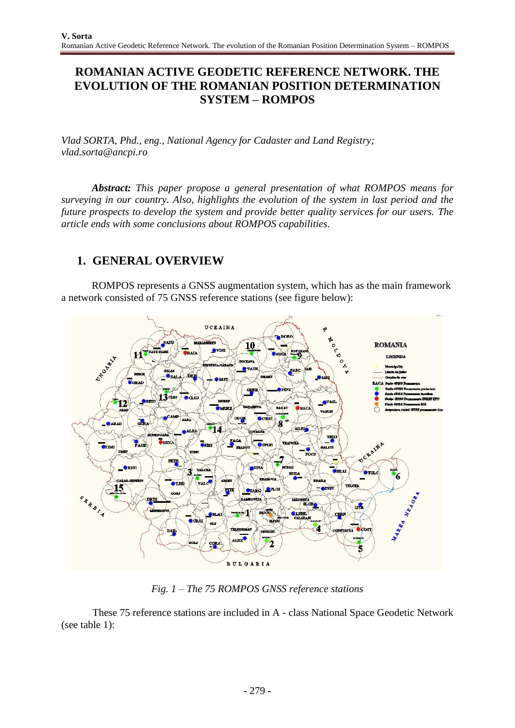# **ROMANIAN ACTIVE GEODETIC REFERENCE NETWORK. THE EVOLUTION OF THE ROMANIAN POSITION DETERMINATION SYSTEM – ROMPOS**

*Vlad SORTA, Phd., eng., National Agency for Cadaster and Land Registry; [vlad.sorta@ancpi.ro](mailto:vlad.sorta@ancpi.ro)*

*Abstract: This paper propose a general presentation of what ROMPOS means for surveying in our country. Also, highlights the evolution of the system in last period and the future prospects to develop the system and provide better quality services for our users. The article ends with some conclusions about ROMPOS capabilities.*

# **1. GENERAL OVERVIEW**

ROMPOS represents a GNSS augmentation system, which has as the main framework a network consisted of 75 GNSS reference stations (see figure below):



*Fig. 1 – The 75 ROMPOS GNSS reference stations*

These 75 reference stations are included in A - class National Space Geodetic Network (see table 1):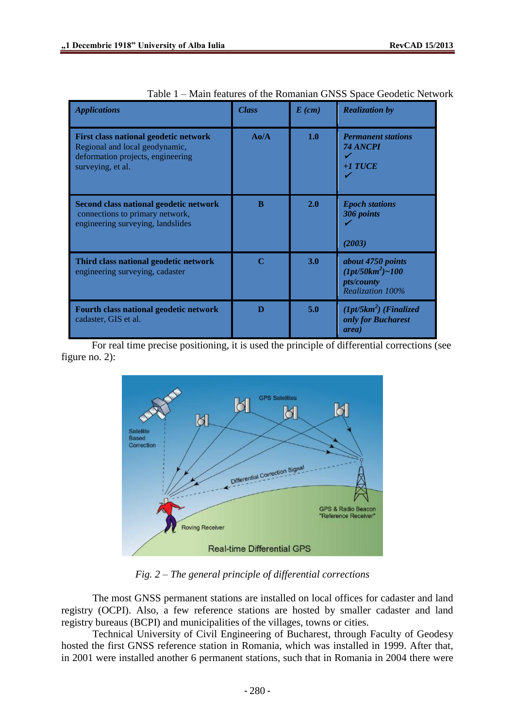| <b>Applications</b>                                                                                                               | <b>Class</b> | $E$ (cm) | <b>Realization by</b>                                                             |
|-----------------------------------------------------------------------------------------------------------------------------------|--------------|----------|-----------------------------------------------------------------------------------|
| First class national geodetic network<br>Regional and local geodynamic,<br>deformation projects, engineering<br>surveying, et al. | $A_0/A$      | 1.0      | <b>Permanent stations</b><br>74 ANCPI<br>$+1$ TUCE                                |
| Second class national geodetic network<br>connections to primary network,<br>engineering surveying, landslides                    | B            | 2.0      | <b>Epoch stations</b><br>306 points<br>(2003)                                     |
| Third class national geodetic network<br>engineering surveying, cadaster                                                          | $\mathbf C$  | 3.0      | about 4750 points<br>$(1pt/50km^2)$ ~100<br><i>pts/county</i><br>Realization 100% |
| Fourth class national geodetic network<br>cadaster, GIS et al.                                                                    | D            | 5.0      | $(1pt/5km^2)$ (Finalized<br>only for Bucharest<br>area)                           |

For real time precise positioning, it is used the principle of differential corrections (see figure no. 2):



*Fig. 2 – The general principle of differential corrections*

The most GNSS permanent stations are installed on local offices for cadaster and land registry (OCPI). Also, a few reference stations are hosted by smaller cadaster and land registry bureaus (BCPI) and municipalities of the villages, towns or cities.

Technical University of Civil Engineering of Bucharest, through Faculty of Geodesy hosted the first GNSS reference station in Romania, which was installed in 1999. After that, in 2001 were installed another 6 permanent stations, such that in Romania in 2004 there were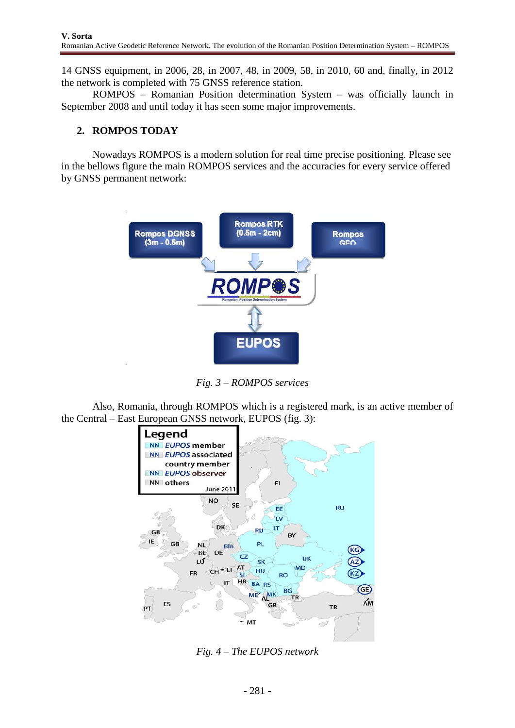14 GNSS equipment, in 2006, 28, in 2007, 48, in 2009, 58, in 2010, 60 and, finally, in 2012 the network is completed with 75 GNSS reference station.

ROMPOS – Romanian Position determination System – was officially launch in September 2008 and until today it has seen some major improvements.

### **2. ROMPOS TODAY**

Nowadays ROMPOS is a modern solution for real time precise positioning. Please see in the bellows figure the main ROMPOS services and the accuracies for every service offered by GNSS permanent network:



*Fig. 3 – ROMPOS services*

Also, Romania, through ROMPOS which is a registered mark, is an active member of the Central – East European GNSS network, EUPOS (fig. 3):



*Fig. 4 – The EUPOS network*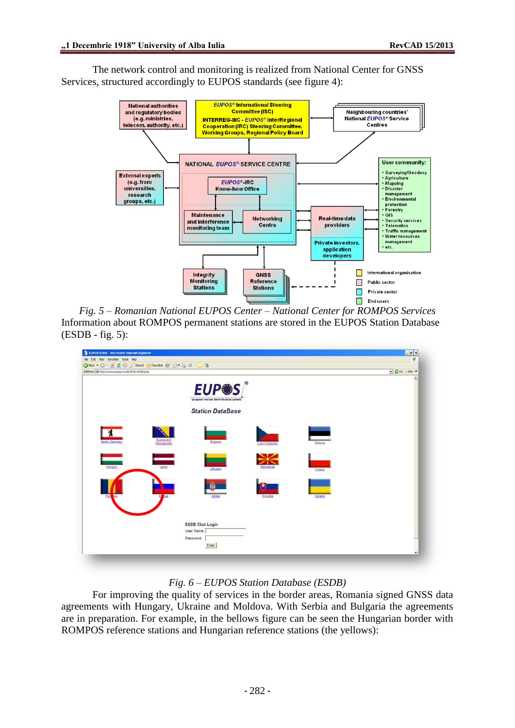The network control and monitoring is realized from National Center for GNSS Services, structured accordingly to EUPOS standards (see figure 4):



*Fig. 5 – Romanian National EUPOS Center – National Center for ROMPOS Services* Information about ROMPOS permanent stations are stored in the EUPOS Station Database (ESDB - fig. 5):

| EUPOS-ESDB - Microsoft Internet Explorer     |                                                     |                                         |                       |         | Lax        |
|----------------------------------------------|-----------------------------------------------------|-----------------------------------------|-----------------------|---------|------------|
| File Edit Vew Favorites Tools Help           |                                                     |                                         |                       |         | 啟          |
|                                              | ◎Box → ◎ → 図 2 ◎ Psearch ☆ Favortes ④ ② → ③ 亚 → ■ 3 |                                         |                       |         |            |
| Address @ http://www.eupos.hu/EUPOS-ESDB.php |                                                     |                                         |                       |         | - Co Links |
|                                              |                                                     |                                         |                       |         | ٠          |
|                                              |                                                     | <b>EUP®S</b>                            |                       |         |            |
|                                              |                                                     |                                         |                       |         |            |
|                                              |                                                     | European Position Determination System* |                       |         |            |
|                                              |                                                     |                                         |                       |         |            |
|                                              |                                                     | <b>Station DataBase</b>                 |                       |         |            |
|                                              |                                                     |                                         |                       |         |            |
|                                              |                                                     |                                         |                       |         |            |
| 丬                                            |                                                     |                                         |                       |         |            |
| Berlin, Germany                              | Bosnia and                                          | Bulgaria                                |                       |         |            |
|                                              | Herzegovina                                         |                                         | <b>Czech Republic</b> | Estonia |            |
|                                              |                                                     |                                         |                       |         |            |
|                                              |                                                     |                                         |                       |         |            |
| Hungary                                      | Latvia                                              |                                         | lacedonia             |         |            |
|                                              |                                                     | Lithuania                               |                       | Poland  |            |
|                                              |                                                     |                                         |                       |         |            |
|                                              |                                                     |                                         |                       |         |            |
|                                              |                                                     |                                         |                       |         |            |
| <b>Ror</b><br>City                           | sa                                                  | Serbia                                  | Slovakua              | Ukraine |            |
|                                              |                                                     |                                         |                       |         |            |
|                                              |                                                     |                                         |                       |         |            |
|                                              |                                                     |                                         |                       |         |            |
|                                              |                                                     | <b>ESDB Club Login</b>                  |                       |         |            |
|                                              |                                                     | User Name:                              |                       |         |            |
|                                              |                                                     | Password:                               |                       |         |            |
|                                              |                                                     | Enter                                   |                       |         |            |
|                                              |                                                     |                                         |                       |         | $\ddot{}$  |

#### *Fig. 6 – EUPOS Station Database (ESDB)*

For improving the quality of services in the border areas, Romania signed GNSS data agreements with Hungary, Ukraine and Moldova. With Serbia and Bulgaria the agreements are in preparation. For example, in the bellows figure can be seen the Hungarian border with ROMPOS reference stations and Hungarian reference stations (the yellows):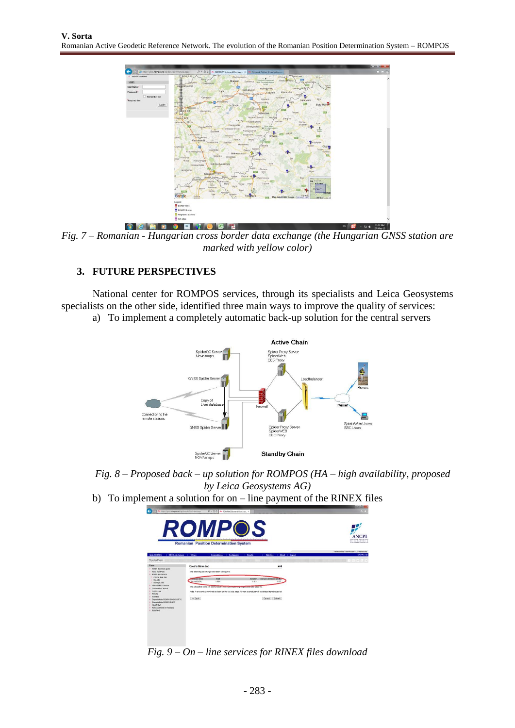

*Fig. 7 – Romanian - Hungarian cross border data exchange (the Hungarian GNSS station are marked with yellow color)*

### **3. FUTURE PERSPECTIVES**

National center for ROMPOS services, through its specialists and Leica Geosystems specialists on the other side, identified three main ways to improve the quality of services:

a) To implement a completely automatic back-up solution for the central servers



*Fig. 8 – Proposed back – up solution for ROMPOS (HA – high availability, proposed by Leica Geosystems AG)*

b) To implement a solution for on – line payment of the RINEX files

| ÷<br>http://graz.rompeuro/spideranti/frmindecacpo               | $\rho - \parallel c \parallel$                                                                                 | A ROMPOS Sistemul Romane., 10                                                                                                                                                                                                  | <b>DE</b>                                                |
|-----------------------------------------------------------------|----------------------------------------------------------------------------------------------------------------|--------------------------------------------------------------------------------------------------------------------------------------------------------------------------------------------------------------------------------|----------------------------------------------------------|
| ROI                                                             | ductual color development color development color development<br><b>Romanian Position Determination System</b> | the chemical contract in the chemical contract contract on the                                                                                                                                                                 | AGENTLE MATIENAE<br><b>BE CANASSED</b>                   |
| <b>RINEX Job Service  </b><br><b>Harta ROMPOS</b>               | Computations   Compurare<br>Witnes                                                                             | Results<br>Statistice   About   Logout                                                                                                                                                                                         | Administrator Administrator ca Administrator<br>EN1RO15g |
| <b>SpiderWeb</b>                                                |                                                                                                                | the contract of the contract of the contract of the contract of the contract of the contract of the contract of the contract of the contract of the contract of the contract of the contract of the contract of the contract o |                                                          |
| <b>Norze</b><br>- RINEX download paide                          | Create New Job                                                                                                 | 4/4                                                                                                                                                                                                                            |                                                          |
| - Hata ROMPOS<br><b>StNEX Job Service</b>                       | The following job settings have been configured.                                                               |                                                                                                                                                                                                                                |                                                          |
| Create New Job<br>$-$ My Jobs<br>$-$ Manage Jobs                | steeled Sire<br><b>Start</b><br>Buzau BUZA:<br>1.00 %                                                          | Cost per download (90%)<br>Danation:<br>15.00<br>1:33 ft                                                                                                                                                                       |                                                          |
| - Virtual RRIEX Service<br><b>L. Correstation Service</b>       | The calculated costs are estimated and may were vegetinging our possesse state page etc.                       |                                                                                                                                                                                                                                |                                                          |
| - Configurare<br>- Results<br>$-$ Stabilize                     |                                                                                                                | Note: A once only job will not be listed on the MyJobs page. Also an expired job will be deleted from the job list.                                                                                                            |                                                          |
| - Disponibilitate ROMPOS DONSSRTK<br>Disposibilitate ROMPOS GEO | << Back                                                                                                        | Cancel Submit                                                                                                                                                                                                                  |                                                          |
| <b>PERMITATION</b><br>Refease GNSS de Romania<br>L ROVPOS       |                                                                                                                |                                                                                                                                                                                                                                |                                                          |
|                                                                 |                                                                                                                |                                                                                                                                                                                                                                |                                                          |
|                                                                 |                                                                                                                |                                                                                                                                                                                                                                |                                                          |
|                                                                 |                                                                                                                |                                                                                                                                                                                                                                |                                                          |
|                                                                 |                                                                                                                |                                                                                                                                                                                                                                |                                                          |

*Fig. 9 – On – line services for RINEX files download*